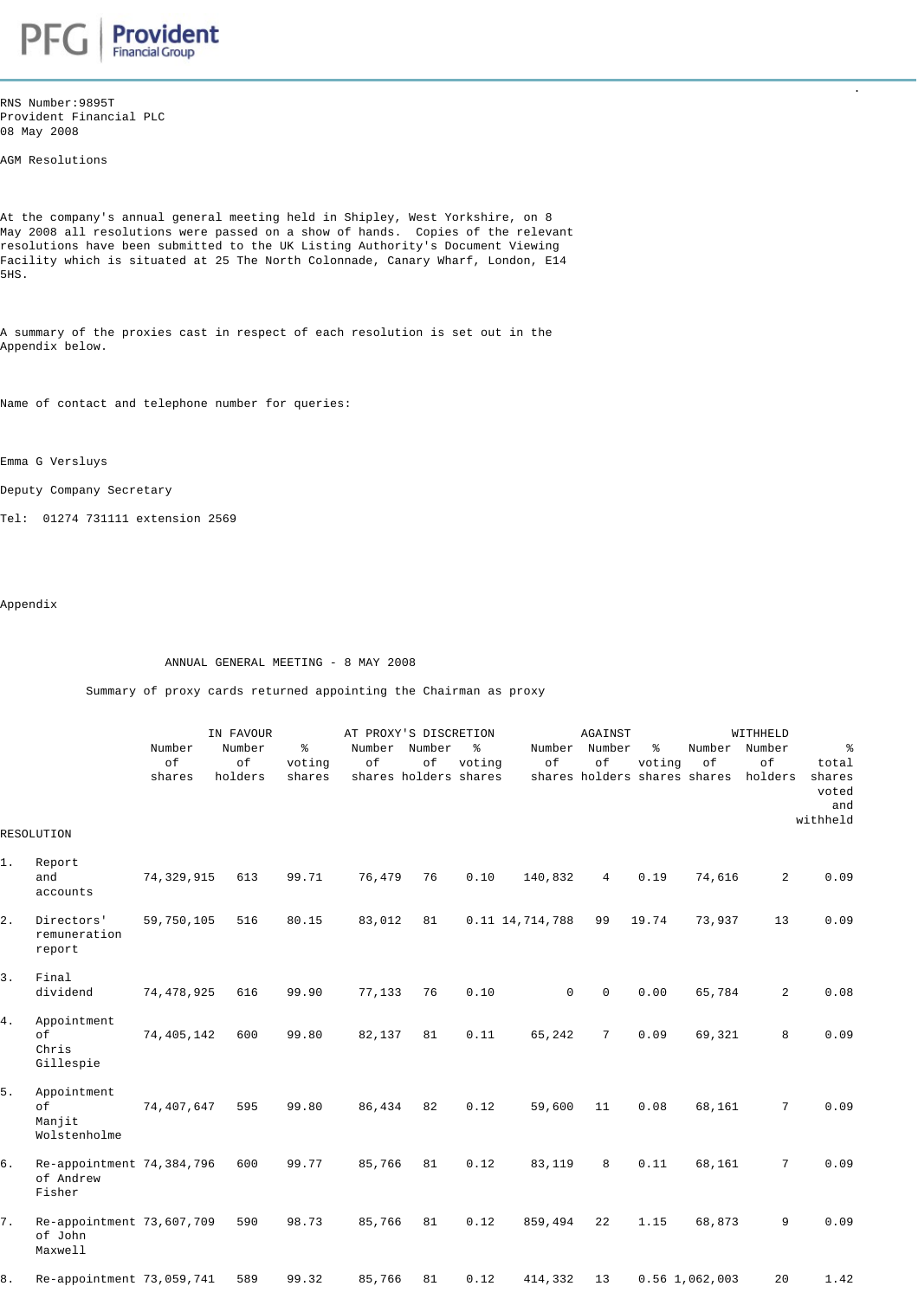

RNS Number:9895T Provident Financial PLC 08 May 2008

AGM Resolutions

At the company's annual general meeting held in Shipley, West Yorkshire, on 8 May 2008 all resolutions were passed on a show of hands. Copies of the relevant resolutions have been submitted to the UK Listing Authority's Document Viewing Facility which is situated at 25 The North Colonnade, Canary Wharf, London, E14 5HS.

. The contract of the contract of the contract of the contract of the contract of the contract of the contract

A summary of the proxies cast in respect of each resolution is set out in the Appendix below.

Name of contact and telephone number for queries:

Emma G Versluys

Deputy Company Secretary

Tel: 01274 731111 extension 2569

Appendix

ANNUAL GENERAL MEETING - 8 MAY 2008

Summary of proxy cards returned appointing the Chairman as proxy

|                  |                                                  | IN FAVOUR              |                         |                        | AT PROXY'S DISCRETION |                                              |             |                 | AGAINST             |             |                                                             | WITHHELD        |                                      |  |  |
|------------------|--------------------------------------------------|------------------------|-------------------------|------------------------|-----------------------|----------------------------------------------|-------------|-----------------|---------------------|-------------|-------------------------------------------------------------|-----------------|--------------------------------------|--|--|
|                  |                                                  | Number<br>of<br>shares | Number<br>of<br>holders | နွ<br>voting<br>shares | of                    | Number Number<br>of<br>shares holders shares | ႜ<br>voting | of              | Number Number<br>of | ႜ<br>voting | Number Number<br>of<br>shares holders shares shares holders | of              | ి<br>total<br>shares<br>voted<br>and |  |  |
|                  | RESOLUTION                                       |                        |                         |                        |                       |                                              |             |                 |                     |             |                                                             |                 | withheld                             |  |  |
| $1$ .            | Report<br>and<br>accounts                        | 74,329,915             | 613                     | 99.71                  | 76,479                | 76                                           | 0.10        | 140,832         | $\overline{4}$      | 0.19        | 74,616                                                      | $\overline{2}$  | 0.09                                 |  |  |
| $\overline{2}$ . | Directors'<br>remuneration<br>report             | 59,750,105             | 516                     | 80.15                  | 83,012                | 81                                           |             | 0.11 14,714,788 | 99                  | 19.74       | 73,937                                                      | 13              | 0.09                                 |  |  |
| 3.               | Final<br>dividend                                | 74,478,925             | 616                     | 99.90                  | 77,133                | 76                                           | 0.10        | $\mathbf 0$     | $\mathbf 0$         | 0.00        | 65,784                                                      | $\overline{2}$  | 0.08                                 |  |  |
| 4.               | Appointment<br>оf<br>Chris<br>Gillespie          | 74,405,142             | 600                     | 99.80                  | 82,137                | 81                                           | 0.11        | 65,242          | $7\overline{ }$     | 0.09        | 69,321                                                      | 8               | 0.09                                 |  |  |
| 5.               | Appointment<br>of<br>Manjit<br>Wolstenholme      | 74,407,647             | 595                     | 99.80                  | 86,434                | 82                                           | 0.12        | 59,600          | 11                  | 0.08        | 68,161                                                      | $7\overline{ }$ | 0.09                                 |  |  |
| б.               | Re-appointment 74,384,796<br>of Andrew<br>Fisher |                        | 600                     | 99.77                  | 85,766                | 81                                           | 0.12        | 83,119          | 8                   | 0.11        | 68,161                                                      | $7\phantom{.}$  | 0.09                                 |  |  |
| 7.               | Re-appointment 73,607,709<br>of John<br>Maxwell  |                        | 590                     | 98.73                  | 85,766                | 81                                           | 0.12        | 859,494         | 22                  | 1.15        | 68,873                                                      | 9               | 0.09                                 |  |  |
| 8.               | Re-appointment 73,059,741                        |                        | 589                     | 99.32                  | 85,766                | 81                                           | 0.12        | 414,332         | 13                  |             | $0.56$ 1,062,003                                            | 20              | 1.42                                 |  |  |